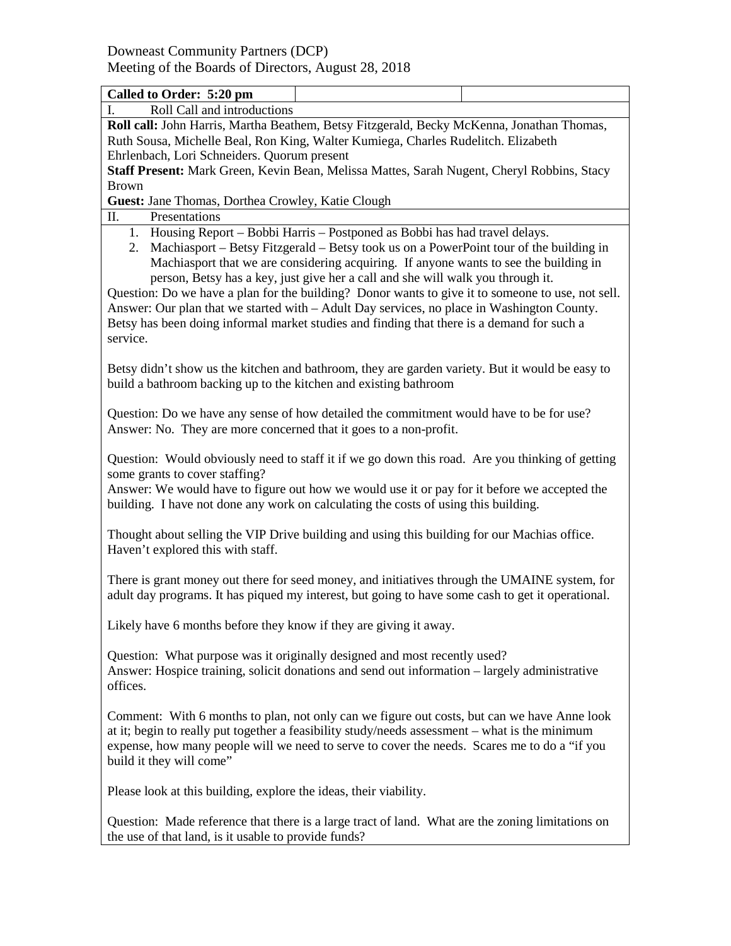| Called to Order: 5:20 pm                                                                                                                                                                                                                                                                                                                                                                                                                                                                                                                                                                                                                                              |  |  |  |  |
|-----------------------------------------------------------------------------------------------------------------------------------------------------------------------------------------------------------------------------------------------------------------------------------------------------------------------------------------------------------------------------------------------------------------------------------------------------------------------------------------------------------------------------------------------------------------------------------------------------------------------------------------------------------------------|--|--|--|--|
| Roll Call and introductions                                                                                                                                                                                                                                                                                                                                                                                                                                                                                                                                                                                                                                           |  |  |  |  |
| Roll call: John Harris, Martha Beathem, Betsy Fitzgerald, Becky McKenna, Jonathan Thomas,                                                                                                                                                                                                                                                                                                                                                                                                                                                                                                                                                                             |  |  |  |  |
| Ruth Sousa, Michelle Beal, Ron King, Walter Kumiega, Charles Rudelitch. Elizabeth                                                                                                                                                                                                                                                                                                                                                                                                                                                                                                                                                                                     |  |  |  |  |
| Ehrlenbach, Lori Schneiders. Quorum present                                                                                                                                                                                                                                                                                                                                                                                                                                                                                                                                                                                                                           |  |  |  |  |
| Staff Present: Mark Green, Kevin Bean, Melissa Mattes, Sarah Nugent, Cheryl Robbins, Stacy                                                                                                                                                                                                                                                                                                                                                                                                                                                                                                                                                                            |  |  |  |  |
| <b>Brown</b>                                                                                                                                                                                                                                                                                                                                                                                                                                                                                                                                                                                                                                                          |  |  |  |  |
| Guest: Jane Thomas, Dorthea Crowley, Katie Clough                                                                                                                                                                                                                                                                                                                                                                                                                                                                                                                                                                                                                     |  |  |  |  |
| Presentations<br>П.                                                                                                                                                                                                                                                                                                                                                                                                                                                                                                                                                                                                                                                   |  |  |  |  |
| 1. Housing Report – Bobbi Harris – Postponed as Bobbi has had travel delays.<br>Machiasport – Betsy Fitzgerald – Betsy took us on a PowerPoint tour of the building in<br>2.<br>Machiasport that we are considering acquiring. If anyone wants to see the building in<br>person, Betsy has a key, just give her a call and she will walk you through it.<br>Question: Do we have a plan for the building? Donor wants to give it to someone to use, not sell.<br>Answer: Our plan that we started with – Adult Day services, no place in Washington County.<br>Betsy has been doing informal market studies and finding that there is a demand for such a<br>service. |  |  |  |  |
| Betsy didn't show us the kitchen and bathroom, they are garden variety. But it would be easy to<br>build a bathroom backing up to the kitchen and existing bathroom                                                                                                                                                                                                                                                                                                                                                                                                                                                                                                   |  |  |  |  |
| Question: Do we have any sense of how detailed the commitment would have to be for use?<br>Answer: No. They are more concerned that it goes to a non-profit.                                                                                                                                                                                                                                                                                                                                                                                                                                                                                                          |  |  |  |  |
| Question: Would obviously need to staff it if we go down this road. Are you thinking of getting<br>some grants to cover staffing?<br>Answer: We would have to figure out how we would use it or pay for it before we accepted the                                                                                                                                                                                                                                                                                                                                                                                                                                     |  |  |  |  |
| building. I have not done any work on calculating the costs of using this building.                                                                                                                                                                                                                                                                                                                                                                                                                                                                                                                                                                                   |  |  |  |  |
| Thought about selling the VIP Drive building and using this building for our Machias office.<br>Haven't explored this with staff.                                                                                                                                                                                                                                                                                                                                                                                                                                                                                                                                     |  |  |  |  |
| There is grant money out there for seed money, and initiatives through the UMAINE system, for<br>adult day programs. It has piqued my interest, but going to have some cash to get it operational.                                                                                                                                                                                                                                                                                                                                                                                                                                                                    |  |  |  |  |
| Likely have 6 months before they know if they are giving it away.                                                                                                                                                                                                                                                                                                                                                                                                                                                                                                                                                                                                     |  |  |  |  |
| Question: What purpose was it originally designed and most recently used?<br>Answer: Hospice training, solicit donations and send out information – largely administrative<br>offices.                                                                                                                                                                                                                                                                                                                                                                                                                                                                                |  |  |  |  |
| Comment: With 6 months to plan, not only can we figure out costs, but can we have Anne look<br>at it; begin to really put together a feasibility study/needs assessment - what is the minimum<br>expense, how many people will we need to serve to cover the needs. Scares me to do a "if you<br>build it they will come"                                                                                                                                                                                                                                                                                                                                             |  |  |  |  |
| Please look at this building, explore the ideas, their viability.                                                                                                                                                                                                                                                                                                                                                                                                                                                                                                                                                                                                     |  |  |  |  |
| Question: Made reference that there is a large tract of land. What are the zoning limitations on<br>the use of that land, is it usable to provide funds?                                                                                                                                                                                                                                                                                                                                                                                                                                                                                                              |  |  |  |  |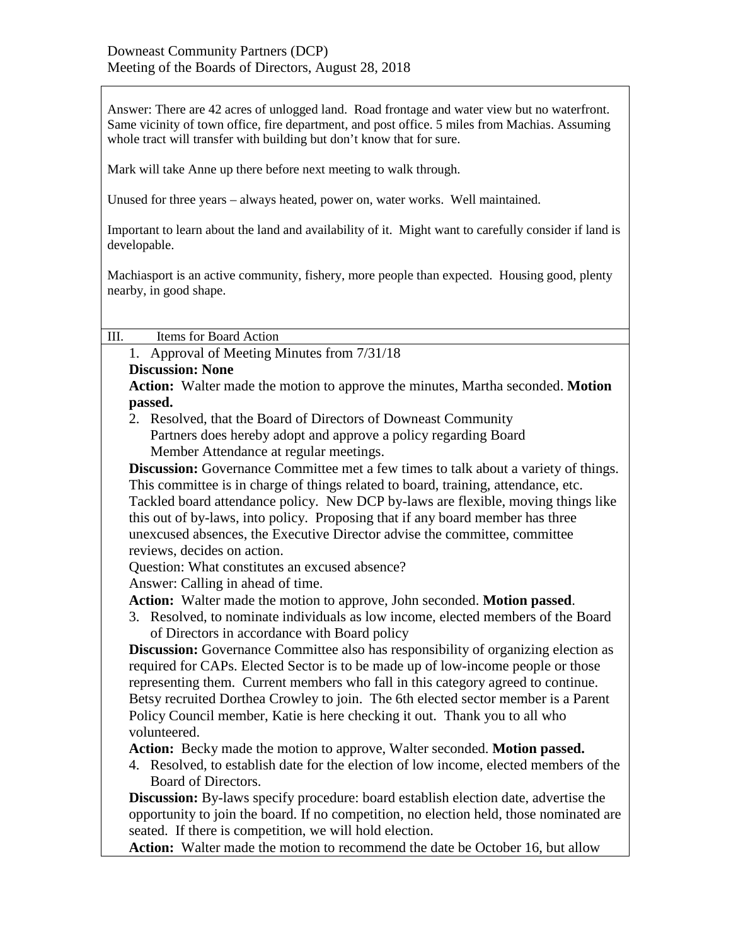Answer: There are 42 acres of unlogged land. Road frontage and water view but no waterfront. Same vicinity of town office, fire department, and post office. 5 miles from Machias. Assuming whole tract will transfer with building but don't know that for sure.

Mark will take Anne up there before next meeting to walk through.

Unused for three years – always heated, power on, water works. Well maintained.

Important to learn about the land and availability of it. Might want to carefully consider if land is developable.

Machiasport is an active community, fishery, more people than expected. Housing good, plenty nearby, in good shape.

III. Items for Board Action

1. Approval of Meeting Minutes from 7/31/18

## **Discussion: None**

**Action:** Walter made the motion to approve the minutes, Martha seconded. **Motion passed.**

2. Resolved, that the Board of Directors of Downeast Community Partners does hereby adopt and approve a policy regarding Board Member Attendance at regular meetings.

**Discussion:** Governance Committee met a few times to talk about a variety of things. This committee is in charge of things related to board, training, attendance, etc. Tackled board attendance policy. New DCP by-laws are flexible, moving things like this out of by-laws, into policy. Proposing that if any board member has three unexcused absences, the Executive Director advise the committee, committee reviews, decides on action.

Question: What constitutes an excused absence?

Answer: Calling in ahead of time.

**Action:** Walter made the motion to approve, John seconded. **Motion passed**.

3. Resolved, to nominate individuals as low income, elected members of the Board of Directors in accordance with Board policy

**Discussion:** Governance Committee also has responsibility of organizing election as required for CAPs. Elected Sector is to be made up of low-income people or those representing them. Current members who fall in this category agreed to continue. Betsy recruited Dorthea Crowley to join. The 6th elected sector member is a Parent Policy Council member, Katie is here checking it out. Thank you to all who volunteered.

**Action:** Becky made the motion to approve, Walter seconded. **Motion passed.**

4. Resolved, to establish date for the election of low income, elected members of the Board of Directors.

**Discussion:** By-laws specify procedure: board establish election date, advertise the opportunity to join the board. If no competition, no election held, those nominated are seated. If there is competition, we will hold election.

**Action:** Walter made the motion to recommend the date be October 16, but allow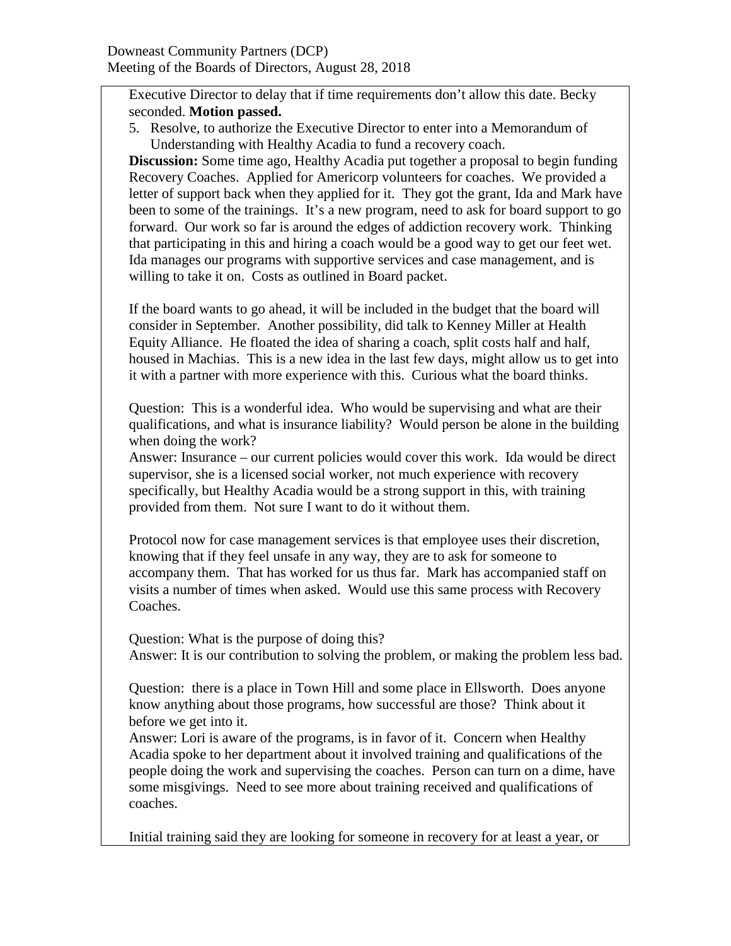Executive Director to delay that if time requirements don't allow this date. Becky seconded. **Motion passed.**

5. Resolve, to authorize the Executive Director to enter into a Memorandum of Understanding with Healthy Acadia to fund a recovery coach.

**Discussion:** Some time ago, Healthy Acadia put together a proposal to begin funding Recovery Coaches. Applied for Americorp volunteers for coaches. We provided a letter of support back when they applied for it. They got the grant, Ida and Mark have been to some of the trainings. It's a new program, need to ask for board support to go forward. Our work so far is around the edges of addiction recovery work. Thinking that participating in this and hiring a coach would be a good way to get our feet wet. Ida manages our programs with supportive services and case management, and is willing to take it on. Costs as outlined in Board packet.

If the board wants to go ahead, it will be included in the budget that the board will consider in September. Another possibility, did talk to Kenney Miller at Health Equity Alliance. He floated the idea of sharing a coach, split costs half and half, housed in Machias. This is a new idea in the last few days, might allow us to get into it with a partner with more experience with this. Curious what the board thinks.

Question: This is a wonderful idea. Who would be supervising and what are their qualifications, and what is insurance liability? Would person be alone in the building when doing the work?

Answer: Insurance – our current policies would cover this work. Ida would be direct supervisor, she is a licensed social worker, not much experience with recovery specifically, but Healthy Acadia would be a strong support in this, with training provided from them. Not sure I want to do it without them.

Protocol now for case management services is that employee uses their discretion, knowing that if they feel unsafe in any way, they are to ask for someone to accompany them. That has worked for us thus far. Mark has accompanied staff on visits a number of times when asked. Would use this same process with Recovery Coaches.

Question: What is the purpose of doing this? Answer: It is our contribution to solving the problem, or making the problem less bad.

Question: there is a place in Town Hill and some place in Ellsworth. Does anyone know anything about those programs, how successful are those? Think about it before we get into it.

Answer: Lori is aware of the programs, is in favor of it. Concern when Healthy Acadia spoke to her department about it involved training and qualifications of the people doing the work and supervising the coaches. Person can turn on a dime, have some misgivings. Need to see more about training received and qualifications of coaches.

Initial training said they are looking for someone in recovery for at least a year, or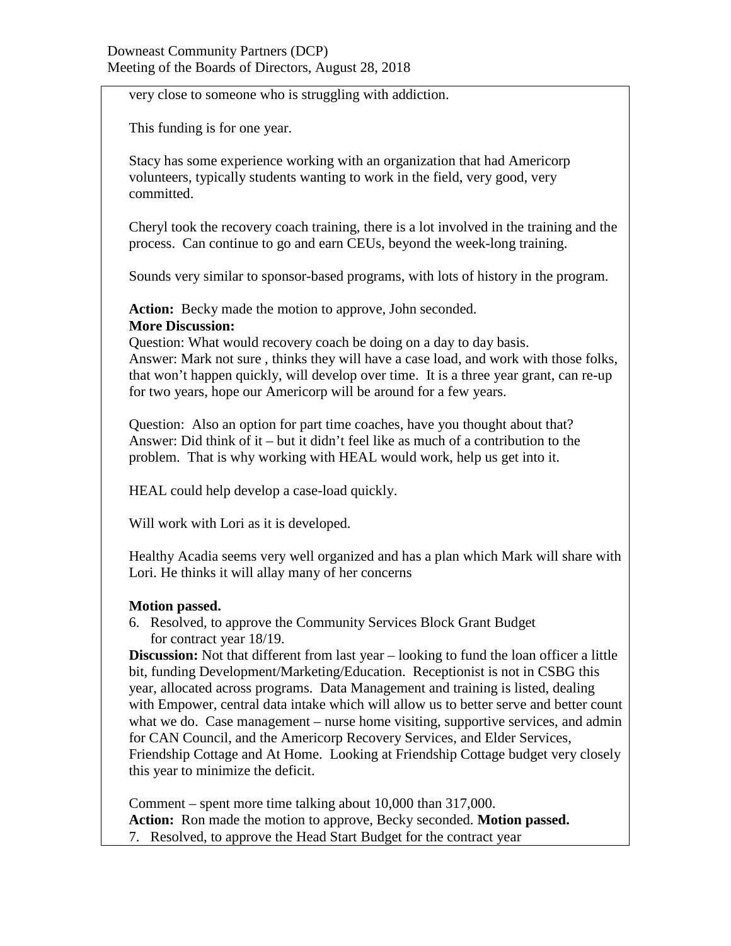very close to someone who is struggling with addiction.

This funding is for one year.

Stacy has some experience working with an organization that had Americorp volunteers, typically students wanting to work in the field, very good, very committed.

Cheryl took the recovery coach training, there is a lot involved in the training and the process. Can continue to go and earn CEUs, beyond the week-long training.

Sounds very similar to sponsor-based programs, with lots of history in the program.

**Action:** Becky made the motion to approve, John seconded. **More Discussion:**

Question: What would recovery coach be doing on a day to day basis. Answer: Mark not sure , thinks they will have a case load, and work with those folks, that won't happen quickly, will develop over time. It is a three year grant, can re-up for two years, hope our Americorp will be around for a few years.

Question: Also an option for part time coaches, have you thought about that? Answer: Did think of it – but it didn't feel like as much of a contribution to the problem. That is why working with HEAL would work, help us get into it.

HEAL could help develop a case-load quickly.

Will work with Lori as it is developed.

Healthy Acadia seems very well organized and has a plan which Mark will share with Lori. He thinks it will allay many of her concerns

## **Motion passed.**

6. Resolved, to approve the Community Services Block Grant Budget for contract year 18/19.

**Discussion:** Not that different from last year – looking to fund the loan officer a little bit, funding Development/Marketing/Education. Receptionist is not in CSBG this year, allocated across programs. Data Management and training is listed, dealing with Empower, central data intake which will allow us to better serve and better count what we do. Case management – nurse home visiting, supportive services, and admin for CAN Council, and the Americorp Recovery Services, and Elder Services, Friendship Cottage and At Home. Looking at Friendship Cottage budget very closely this year to minimize the deficit.

Comment – spent more time talking about 10,000 than 317,000. **Action:** Ron made the motion to approve, Becky seconded. **Motion passed.** 7. Resolved, to approve the Head Start Budget for the contract year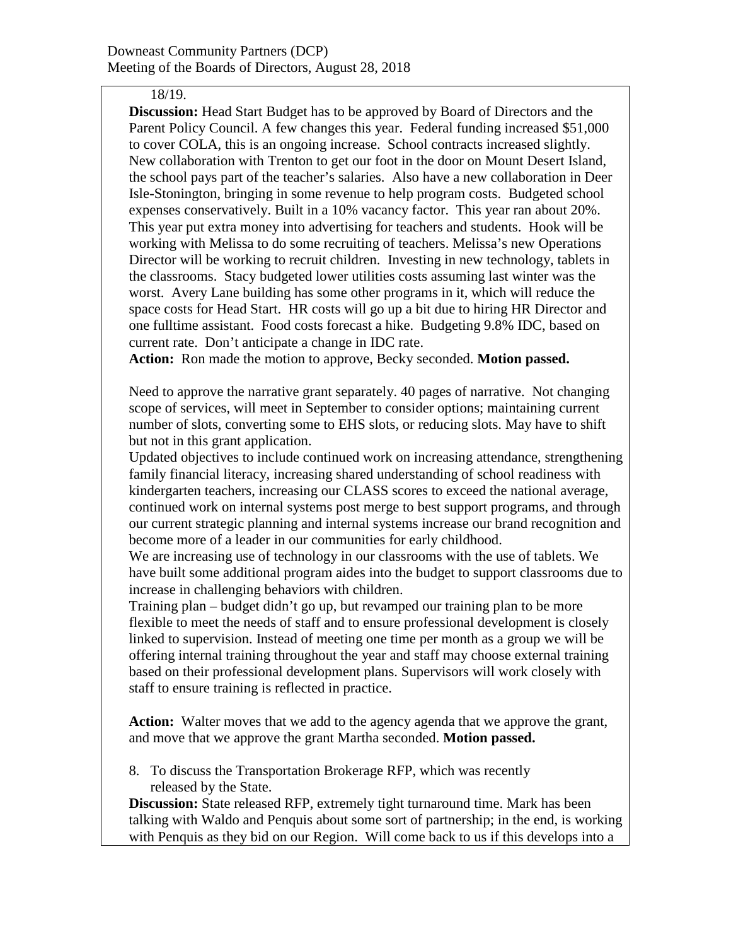## 18/19.

**Discussion:** Head Start Budget has to be approved by Board of Directors and the Parent Policy Council. A few changes this year. Federal funding increased \$51,000 to cover COLA, this is an ongoing increase. School contracts increased slightly. New collaboration with Trenton to get our foot in the door on Mount Desert Island, the school pays part of the teacher's salaries. Also have a new collaboration in Deer Isle-Stonington, bringing in some revenue to help program costs. Budgeted school expenses conservatively. Built in a 10% vacancy factor. This year ran about 20%. This year put extra money into advertising for teachers and students. Hook will be working with Melissa to do some recruiting of teachers. Melissa's new Operations Director will be working to recruit children. Investing in new technology, tablets in the classrooms. Stacy budgeted lower utilities costs assuming last winter was the worst. Avery Lane building has some other programs in it, which will reduce the space costs for Head Start. HR costs will go up a bit due to hiring HR Director and one fulltime assistant. Food costs forecast a hike. Budgeting 9.8% IDC, based on current rate. Don't anticipate a change in IDC rate.

**Action:** Ron made the motion to approve, Becky seconded. **Motion passed.**

Need to approve the narrative grant separately. 40 pages of narrative. Not changing scope of services, will meet in September to consider options; maintaining current number of slots, converting some to EHS slots, or reducing slots. May have to shift but not in this grant application.

Updated objectives to include continued work on increasing attendance, strengthening family financial literacy, increasing shared understanding of school readiness with kindergarten teachers, increasing our CLASS scores to exceed the national average, continued work on internal systems post merge to best support programs, and through our current strategic planning and internal systems increase our brand recognition and become more of a leader in our communities for early childhood.

We are increasing use of technology in our classrooms with the use of tablets. We have built some additional program aides into the budget to support classrooms due to increase in challenging behaviors with children.

Training plan – budget didn't go up, but revamped our training plan to be more flexible to meet the needs of staff and to ensure professional development is closely linked to supervision. Instead of meeting one time per month as a group we will be offering internal training throughout the year and staff may choose external training based on their professional development plans. Supervisors will work closely with staff to ensure training is reflected in practice.

**Action:** Walter moves that we add to the agency agenda that we approve the grant, and move that we approve the grant Martha seconded. **Motion passed.**

8. To discuss the Transportation Brokerage RFP, which was recently released by the State.

**Discussion:** State released RFP, extremely tight turnaround time. Mark has been talking with Waldo and Penquis about some sort of partnership; in the end, is working with Penquis as they bid on our Region. Will come back to us if this develops into a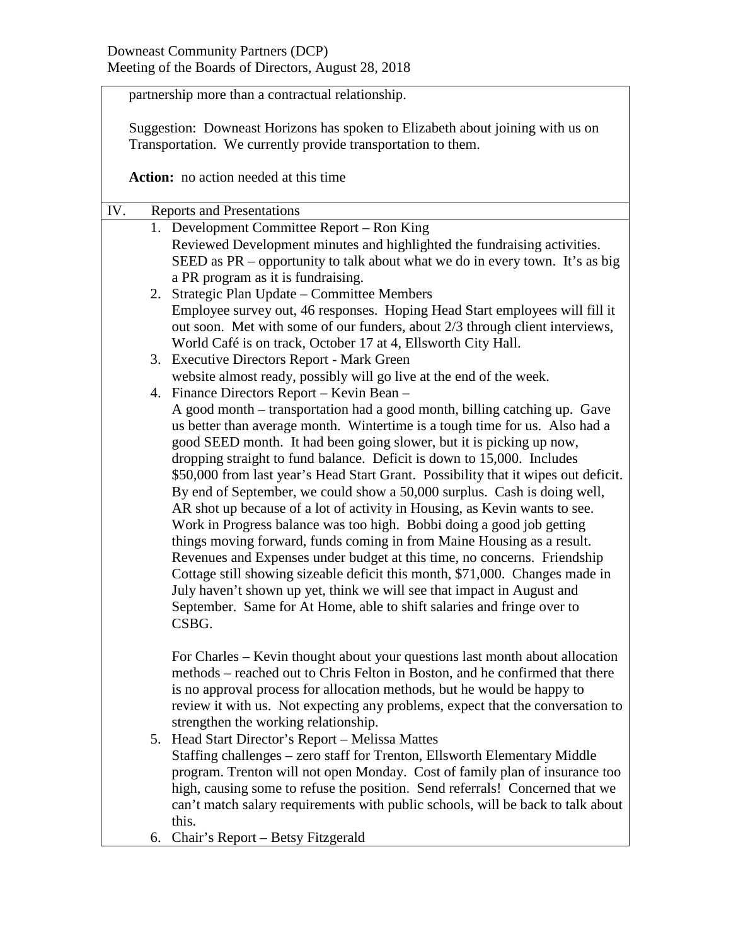partnership more than a contractual relationship.

Suggestion: Downeast Horizons has spoken to Elizabeth about joining with us on Transportation. We currently provide transportation to them.

**Action:** no action needed at this time

| IV.                                                                         | <b>Reports and Presentations</b>                                                   |  |  |  |  |
|-----------------------------------------------------------------------------|------------------------------------------------------------------------------------|--|--|--|--|
|                                                                             | 1. Development Committee Report – Ron King                                         |  |  |  |  |
|                                                                             | Reviewed Development minutes and highlighted the fundraising activities.           |  |  |  |  |
|                                                                             | SEED as PR – opportunity to talk about what we do in every town. It's as big       |  |  |  |  |
|                                                                             | a PR program as it is fundraising.                                                 |  |  |  |  |
|                                                                             | 2. Strategic Plan Update - Committee Members                                       |  |  |  |  |
|                                                                             | Employee survey out, 46 responses. Hoping Head Start employees will fill it        |  |  |  |  |
|                                                                             | out soon. Met with some of our funders, about 2/3 through client interviews,       |  |  |  |  |
|                                                                             | World Café is on track, October 17 at 4, Ellsworth City Hall.                      |  |  |  |  |
|                                                                             | 3. Executive Directors Report - Mark Green                                         |  |  |  |  |
|                                                                             | website almost ready, possibly will go live at the end of the week.                |  |  |  |  |
|                                                                             | 4. Finance Directors Report – Kevin Bean –                                         |  |  |  |  |
| A good month – transportation had a good month, billing catching up. Gave   |                                                                                    |  |  |  |  |
| us better than average month. Wintertime is a tough time for us. Also had a |                                                                                    |  |  |  |  |
|                                                                             | good SEED month. It had been going slower, but it is picking up now,               |  |  |  |  |
|                                                                             | dropping straight to fund balance. Deficit is down to 15,000. Includes             |  |  |  |  |
|                                                                             | \$50,000 from last year's Head Start Grant. Possibility that it wipes out deficit. |  |  |  |  |
|                                                                             | By end of September, we could show a 50,000 surplus. Cash is doing well,           |  |  |  |  |
|                                                                             | AR shot up because of a lot of activity in Housing, as Kevin wants to see.         |  |  |  |  |
|                                                                             | Work in Progress balance was too high. Bobbi doing a good job getting              |  |  |  |  |
|                                                                             | things moving forward, funds coming in from Maine Housing as a result.             |  |  |  |  |
|                                                                             | Revenues and Expenses under budget at this time, no concerns. Friendship           |  |  |  |  |
|                                                                             | Cottage still showing sizeable deficit this month, \$71,000. Changes made in       |  |  |  |  |
|                                                                             | July haven't shown up yet, think we will see that impact in August and             |  |  |  |  |
|                                                                             | September. Same for At Home, able to shift salaries and fringe over to             |  |  |  |  |
|                                                                             | CSBG.                                                                              |  |  |  |  |
|                                                                             |                                                                                    |  |  |  |  |
|                                                                             | For Charles – Kevin thought about your questions last month about allocation       |  |  |  |  |
|                                                                             | methods – reached out to Chris Felton in Boston, and he confirmed that there       |  |  |  |  |
|                                                                             | is no approval process for allocation methods, but he would be happy to            |  |  |  |  |
|                                                                             | review it with us. Not expecting any problems, expect that the conversation to     |  |  |  |  |
|                                                                             | strengthen the working relationship.                                               |  |  |  |  |
|                                                                             | 5. Head Start Director's Report - Melissa Mattes                                   |  |  |  |  |
|                                                                             | Staffing challenges – zero staff for Trenton, Ellsworth Elementary Middle          |  |  |  |  |
|                                                                             | program. Trenton will not open Monday. Cost of family plan of insurance too        |  |  |  |  |
|                                                                             | high, causing some to refuse the position. Send referrals! Concerned that we       |  |  |  |  |
|                                                                             | can't match salary requirements with public schools, will be back to talk about    |  |  |  |  |
|                                                                             | this.                                                                              |  |  |  |  |
| 6.                                                                          | Chair's Report – Betsy Fitzgerald                                                  |  |  |  |  |